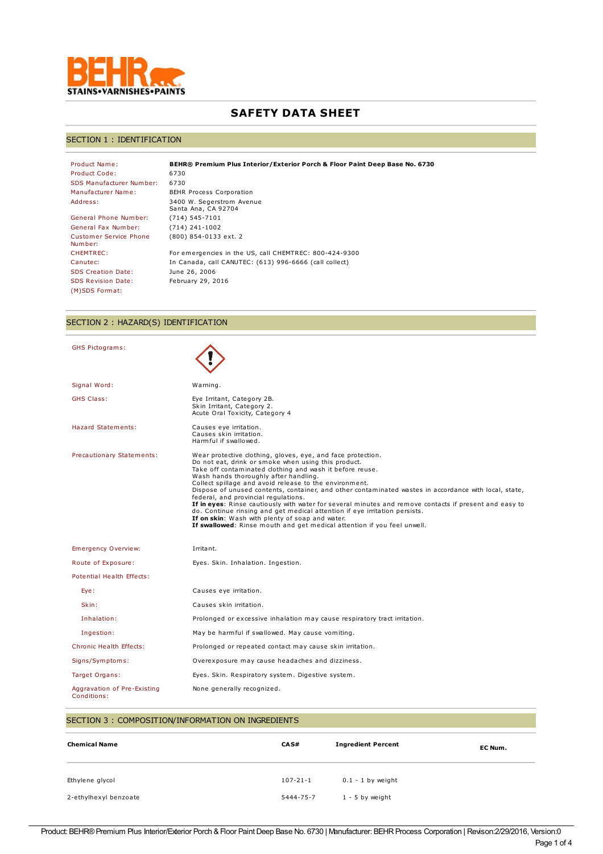

# **SAFETY DATA SHEET**

## SECTION 1 : IDENTIFICATION

| Product Name:                            | BEHR® Premium Plus Interior/Exterior Porch & Floor Paint Deep Base No. 6730 |
|------------------------------------------|-----------------------------------------------------------------------------|
| Product Code:                            | 6730                                                                        |
| <b>SDS Manufacturer Number:</b>          | 6730                                                                        |
| Manufacturer Name:                       | BEHR Process Corporation                                                    |
| Address:                                 | 3400 W. Segerstrom Avenue<br>Santa Ana, CA 92704                            |
| General Phone Number:                    | $(714) 545 - 7101$                                                          |
| General Fax Number:                      | $(714)$ 241-1002                                                            |
| <b>Customer Service Phone</b><br>Number: | (800) 854-0133 ext. 2                                                       |
| CHEMTREC:                                | For emergencies in the US, call CHEMTREC: 800-424-9300                      |
| Canutec:                                 | In Canada, call CANUTEC: (613) 996-6666 (call collect)                      |
| <b>SDS Creation Date:</b>                | June 26, 2006                                                               |
| <b>SDS Revision Date:</b>                | February 29, 2016                                                           |
| (M)SDS Format:                           |                                                                             |

# SECTION 2 : HAZARD(S) IDENTIFICATION

| <b>GHS Pictograms:</b>                     |                                                                                                                                                                                                                                                                                                                                                                                                                                                                                                                                                                                                                                                                                                                                                          |
|--------------------------------------------|----------------------------------------------------------------------------------------------------------------------------------------------------------------------------------------------------------------------------------------------------------------------------------------------------------------------------------------------------------------------------------------------------------------------------------------------------------------------------------------------------------------------------------------------------------------------------------------------------------------------------------------------------------------------------------------------------------------------------------------------------------|
| Signal Word:                               | Warning.                                                                                                                                                                                                                                                                                                                                                                                                                                                                                                                                                                                                                                                                                                                                                 |
| <b>GHS Class:</b>                          | Eye Irritant, Category 2B.<br>Skin Irritant, Category 2.<br>Acute Oral Toxicity, Category 4                                                                                                                                                                                                                                                                                                                                                                                                                                                                                                                                                                                                                                                              |
| <b>Hazard Statements:</b>                  | Causes eye irritation.<br>Causes skin irritation.<br>Harmful if swallowed.                                                                                                                                                                                                                                                                                                                                                                                                                                                                                                                                                                                                                                                                               |
| Precautionary Statements:                  | Wear protective clothing, gloves, eye, and face protection.<br>Do not eat, drink or smoke when using this product.<br>Take off contaminated clothing and wash it before reuse.<br>Wash hands thoroughly after handling.<br>Collect spillage and avoid release to the environment.<br>Dispose of unused contents, container, and other contaminated wastes in accordance with local, state,<br>federal, and provincial requlations.<br>If in eyes: Rinse cautiously with water for several minutes and remove contacts if present and easy to<br>do. Continue rinsing and get medical attention if eye irritation persists.<br>If on skin: Wash with plenty of soap and water.<br>If swallowed: Rinse mouth and get medical attention if you feel unwell. |
| <b>Emergency Overview:</b>                 | Irritant.                                                                                                                                                                                                                                                                                                                                                                                                                                                                                                                                                                                                                                                                                                                                                |
| Route of Exposure:                         | Eyes. Skin. Inhalation. Ingestion.                                                                                                                                                                                                                                                                                                                                                                                                                                                                                                                                                                                                                                                                                                                       |
| Potential Health Effects:                  |                                                                                                                                                                                                                                                                                                                                                                                                                                                                                                                                                                                                                                                                                                                                                          |
| Eye:                                       | Causes eye irritation.                                                                                                                                                                                                                                                                                                                                                                                                                                                                                                                                                                                                                                                                                                                                   |
| Skin:                                      | Causes skin irritation.                                                                                                                                                                                                                                                                                                                                                                                                                                                                                                                                                                                                                                                                                                                                  |
| Inhalation:                                | Prolonged or excessive inhalation may cause respiratory tract irritation.                                                                                                                                                                                                                                                                                                                                                                                                                                                                                                                                                                                                                                                                                |
| Ingestion:                                 | May be harmful if swallowed. May cause vomiting.                                                                                                                                                                                                                                                                                                                                                                                                                                                                                                                                                                                                                                                                                                         |
| <b>Chronic Health Effects:</b>             | Prolonged or repeated contact may cause skin irritation.                                                                                                                                                                                                                                                                                                                                                                                                                                                                                                                                                                                                                                                                                                 |
| Signs/Symptoms:                            | Overexposure may cause headaches and dizziness.                                                                                                                                                                                                                                                                                                                                                                                                                                                                                                                                                                                                                                                                                                          |
| Target Organs:                             | Eyes. Skin. Respiratory system. Digestive system.                                                                                                                                                                                                                                                                                                                                                                                                                                                                                                                                                                                                                                                                                                        |
| Aggravation of Pre-Existing<br>Conditions: | None generally recognized.                                                                                                                                                                                                                                                                                                                                                                                                                                                                                                                                                                                                                                                                                                                               |

| SECTION 3: COMPOSITION/INFORMATION ON INGREDIENTS |                   |                           |         |
|---------------------------------------------------|-------------------|---------------------------|---------|
| <b>Chemical Name</b>                              | CA <sub>S</sub> # | <b>Ingredient Percent</b> | EC Num. |
| Ethylene glycol                                   | $107 - 21 - 1$    | $0.1 - 1$ by weight       |         |
| 2-ethylhexyl benzoate                             | 5444-75-7         | $1 - 5$ by weight         |         |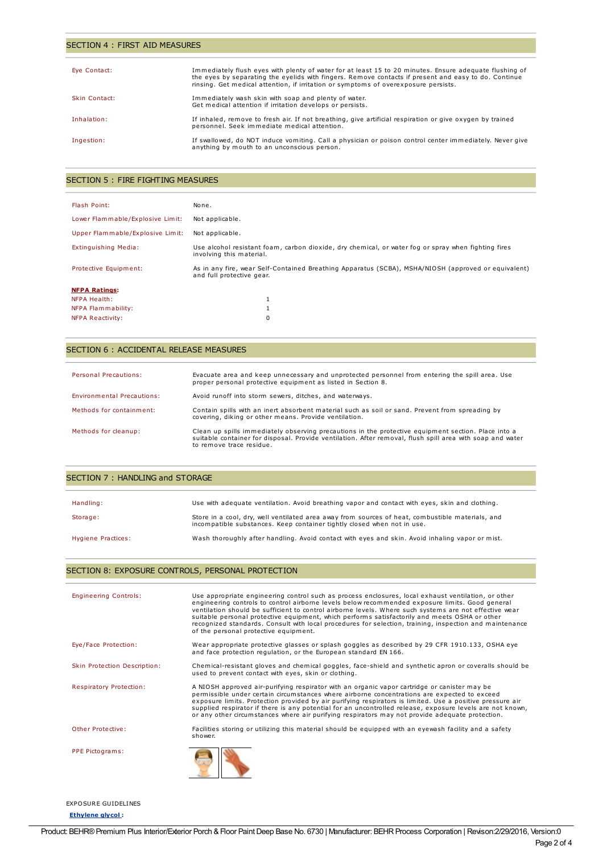### SECTION 4 : FIRST AID MEASURES

| Eye Contact:  | Immediately flush eyes with plenty of water for at least 15 to 20 minutes. Ensure adequate flushing of<br>the eyes by separating the eyelids with fingers. Remove contacts if present and easy to do. Continue<br>rinsing. Get medical attention, if irritation or symptoms of overexposure persists. |
|---------------|-------------------------------------------------------------------------------------------------------------------------------------------------------------------------------------------------------------------------------------------------------------------------------------------------------|
| Skin Contact: | Immediately wash skin with soap and plenty of water.<br>Get medical attention if irritation develops or persists.                                                                                                                                                                                     |
| Inhalation:   | If inhaled, remove to fresh air. If not breathing, give artificial respiration or give oxygen by trained<br>personnel. Seek immediate medical attention.                                                                                                                                              |
| Ingestion:    | If swallowed, do NOT induce vomiting. Call a physician or poison control center immediately. Never give<br>anything by mouth to an unconscious person.                                                                                                                                                |

## SECTION 5 : FIRE FIGHTING MEASURES

| Flash Point:                     | None.                                                                                                                            |
|----------------------------------|----------------------------------------------------------------------------------------------------------------------------------|
| Lower Flammable/Explosive Limit: | Not applicable.                                                                                                                  |
| Upper Flammable/Explosive Limit: | Not applicable.                                                                                                                  |
| Extinguishing Media:             | Use alcohol resistant foam, carbon dioxide, dry chemical, or water fog or spray when fighting fires<br>involving this material.  |
| Protective Equipment:            | As in any fire, wear Self-Contained Breathing Apparatus (SCBA), MSHA/NIOSH (approved or equivalent)<br>and full protective gear. |
| <b>NFPA Ratings:</b>             |                                                                                                                                  |
| NFPA Health:                     |                                                                                                                                  |
| NFPA Flammability:               |                                                                                                                                  |
| NFPA Reactivity:                 | 0                                                                                                                                |

### SECTION 6 : ACCIDENTAL RELEASE MEASURES

| Personal Precautions:      | Evacuate area and keep unnecessary and unprotected personnel from entering the spill area. Use<br>proper personal protective equipment as listed in Section 8.                                                                               |
|----------------------------|----------------------------------------------------------------------------------------------------------------------------------------------------------------------------------------------------------------------------------------------|
| Environmental Precautions: | Avoid runoff into storm sewers, ditches, and waterways.                                                                                                                                                                                      |
| Methods for containment:   | Contain spills with an inert absorbent material such as soil or sand. Prevent from spreading by<br>covering, diking or other means. Provide ventilation.                                                                                     |
| Methods for cleanup:       | Clean up spills immediately observing precautions in the protective equipment section. Place into a<br>suitable container for disposal. Provide ventilation. After removal, flush spill area with soap and water<br>to remove trace residue. |

| SECTION 7: HANDLING and STORAGE |                                                                                                                                                                             |  |
|---------------------------------|-----------------------------------------------------------------------------------------------------------------------------------------------------------------------------|--|
| Handling:                       | Use with adequate ventilation. Avoid breathing vapor and contact with eyes, skin and clothing.                                                                              |  |
| Storage:                        | Store in a cool, dry, well ventilated area away from sources of heat, combustible materials, and<br>incompatible substances. Keep container tightly closed when not in use. |  |
| Hygiene Practices:              | Wash thoroughly after handling. Avoid contact with eyes and skin. Avoid inhaling vapor or mist.                                                                             |  |

# SECTION 8: EXPOSURE CONTROLS, PERSONAL PROTECTION

| <b>Engineering Controls:</b> | Use appropriate engineering control such as process enclosures, local exhaust ventilation, or other<br>engineering controls to control airborne levels below recommended exposure limits. Good general<br>ventilation should be sufficient to control airborne levels. Where such systems are not effective wear<br>suitable personal protective equipment, which performs satisfactorily and meets OSHA or other<br>recognized standards. Consult with local procedures for selection, training, inspection and maintenance<br>of the personal protective equipment. |  |
|------------------------------|-----------------------------------------------------------------------------------------------------------------------------------------------------------------------------------------------------------------------------------------------------------------------------------------------------------------------------------------------------------------------------------------------------------------------------------------------------------------------------------------------------------------------------------------------------------------------|--|
| Eye/Face Protection:         | Wear appropriate protective glasses or splash goggles as described by 29 CFR 1910.133, OSHA eye<br>and face protection regulation, or the European standard EN 166.                                                                                                                                                                                                                                                                                                                                                                                                   |  |
| Skin Protection Description: | Chemical-resistant gloves and chemical goggles, face-shield and synthetic apron or coveralls should be<br>used to prevent contact with eyes, skin or clothing.                                                                                                                                                                                                                                                                                                                                                                                                        |  |
| Respiratory Protection:      | A NIOSH approved air-purifying respirator with an organic vapor cartridge or canister may be<br>permissible under certain circumstances where airborne concentrations are expected to exceed<br>exposure limits. Protection provided by air purifying respirators is limited. Use a positive pressure air<br>supplied respirator if there is any potential for an uncontrolled release, exposure levels are not known,<br>or any other circumstances where air purifying respirators may not provide adequate protection.                                             |  |
| Other Protective:            | Facilities storing or utilizing this material should be equipped with an eyewash facility and a safety<br>shower.                                                                                                                                                                                                                                                                                                                                                                                                                                                     |  |
| PPE Pictograms:              |                                                                                                                                                                                                                                                                                                                                                                                                                                                                                                                                                                       |  |

EXPOSURE GUIDELINES

**Ethylene glycol :**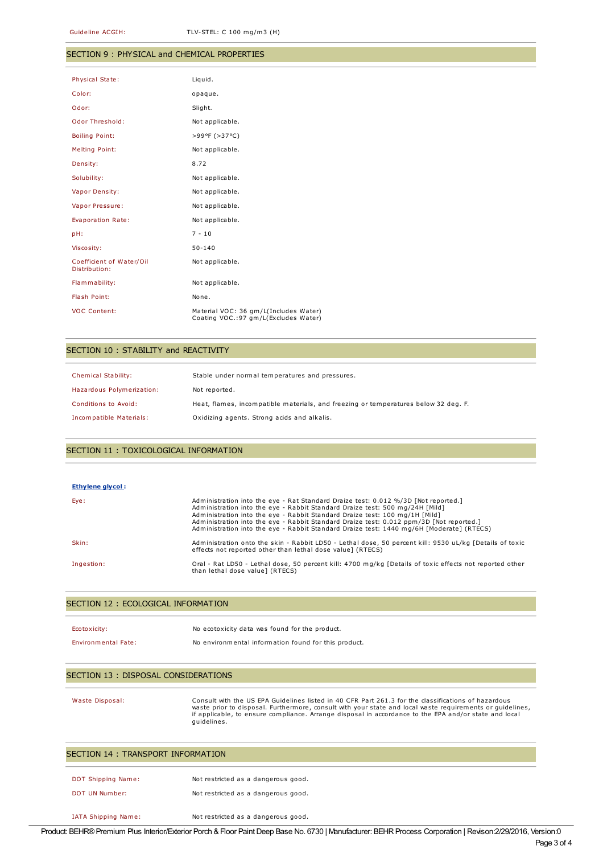#### SECTION 9 : PHYSICAL and CHEMICAL PROPERTIES

| <b>Physical State:</b>                    | Liquid.                                                                        |
|-------------------------------------------|--------------------------------------------------------------------------------|
| Color:                                    | opaque.                                                                        |
| Odor:                                     | Slight.                                                                        |
| <b>Odor Threshold:</b>                    | Not applicable.                                                                |
| <b>Boiling Point:</b>                     | >99ºF (>37°C)                                                                  |
| Melting Point:                            | Not applicable.                                                                |
| Density:                                  | 8.72                                                                           |
| Solubility:                               | Not applicable.                                                                |
| Vapor Density:                            | Not applicable.                                                                |
| Vapor Pressure:                           | Not applicable.                                                                |
| Evaporation Rate:                         | Not applicable.                                                                |
| pH:                                       | $7 - 10$                                                                       |
| Viscosity:                                | $50 - 140$                                                                     |
| Coefficient of Water/Oil<br>Distribution: | Not applicable.                                                                |
| Flammability:                             | Not applicable.                                                                |
| Flash Point:                              | None.                                                                          |
| <b>VOC Content:</b>                       | Material VOC: 36 gm/L(Includes Water)<br>Coating VOC.: 97 gm/L(Excludes Water) |

### SECTION 10 : STABILITY and REACTIVITY

| <b>Chemical Stability:</b> | Stable under normal temperatures and pressures.                                     |
|----------------------------|-------------------------------------------------------------------------------------|
| Hazardous Polymerization:  | Not reported.                                                                       |
| Conditions to Avoid:       | Heat, flames, incompatible materials, and freezing or temperatures below 32 deg. F. |
| Incompatible Materials:    | Oxidizing agents. Strong acids and alkalis.                                         |

### SECTION 11 : TOXICOLOGICAL INFORMATION

#### **Ethylene glycol :**

| Eye:       | Administration into the eve - Rat Standard Draize test: 0.012 %/3D [Not reported.]<br>Administration into the eye - Rabbit Standard Draize test: 500 mg/24H [Mild]<br>Administration into the eye - Rabbit Standard Draize test: 100 mg/1H [Mild]<br>Administration into the eye - Rabbit Standard Draize test: 0.012 ppm/3D [Not reported.]<br>Administration into the eye - Rabbit Standard Draize test: 1440 mg/6H [Moderate] (RTECS) |
|------------|------------------------------------------------------------------------------------------------------------------------------------------------------------------------------------------------------------------------------------------------------------------------------------------------------------------------------------------------------------------------------------------------------------------------------------------|
| Skin:      | Administration onto the skin - Rabbit LD50 - Lethal dose, 50 percent kill: 9530 uL/kg [Details of toxic<br>effects not reported other than lethal dose value 1 (RTECS)                                                                                                                                                                                                                                                                   |
| Ingestion: | Oral - Rat LD50 - Lethal dose, 50 percent kill: 4700 mg/kg [Details of toxic effects not reported other<br>than lethal dose value] (RTECS)                                                                                                                                                                                                                                                                                               |

#### SECTION 12 : ECOLOGICAL INFORMATION

| Ecotoxicity:               | No ecotoxicity data was found for the product.       |
|----------------------------|------------------------------------------------------|
| <b>Environmental Fate:</b> | No environmental information found for this product. |

IATA Shipping Name: Not restricted as a dangerous good.

### SECTION 13 : DISPOSAL CONSIDERATIONS

Waste Disposal: Consult with the US EPA Guidelines listed in 40 CFR Part 261.3 for the classifications of hazardous waste prior to disposal. Furthermore, consult with your state and local waste requirements or guidelines, if applicable, to ensure compliance. Arrange disposal in accordance to the EPA and/or state and local guidelines.

| SECTION 14 : TRANSPORT INFORMATION |                                     |  |
|------------------------------------|-------------------------------------|--|
| DOT Shipping Name:                 | Not restricted as a dangerous good. |  |
| DOT UN Number:                     | Not restricted as a dangerous good. |  |
|                                    |                                     |  |

Product: BEHR® Premium Plus Interior/Exterior Porch & Floor Paint Deep Base No. 6730 | Manufacturer: BEHR Process Corporation | Revison:2/29/2016, Version:0